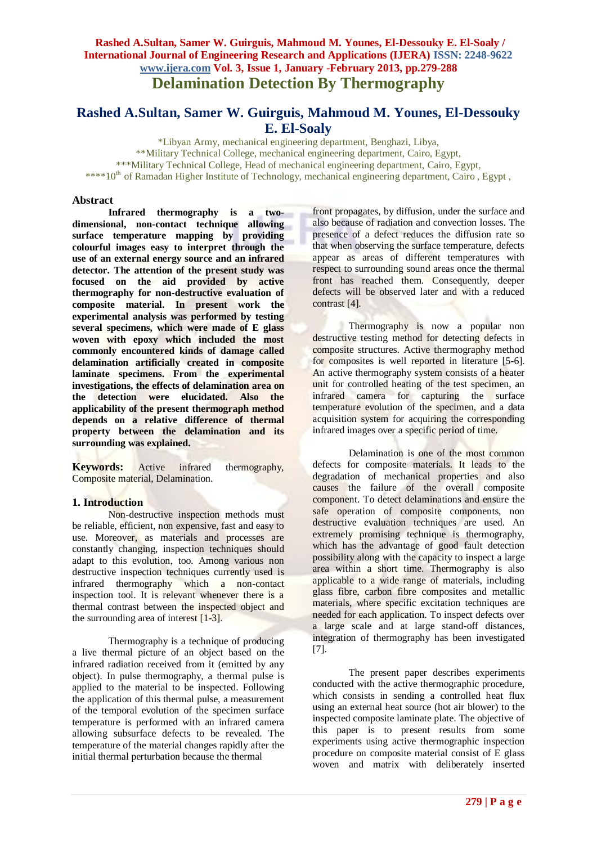# **Rashed A.Sultan, Samer W. Guirguis, Mahmoud M. Younes, El-Dessouky E. El-Soaly**

\*Libyan Army, mechanical engineering department, Benghazi, Libya, \*\*Military Technical College, mechanical engineering department, Cairo, Egypt, \*\*\*Military Technical College, Head of mechanical engineering department, Cairo, Egypt, \*\*\*\*10<sup>th</sup> of Ramadan Higher Institute of Technology, mechanical engineering department, Cairo, Egypt,

#### **Abstract**

**Infrared thermography is a twodimensional, non-contact technique allowing surface temperature mapping by providing colourful images easy to interpret through the use of an external energy source and an infrared detector. The attention of the present study was focused on the aid provided by active thermography for non-destructive evaluation of composite material. In present work the experimental analysis was performed by testing several specimens, which were made of E glass woven with epoxy which included the most commonly encountered kinds of damage called delamination artificially created in composite laminate specimens. From the experimental investigations, the effects of delamination area on the detection were elucidated. Also the applicability of the present thermograph method depends on a relative difference of thermal property between the delamination and its surrounding was explained.**

**Keywords:** Active infrared thermography, Composite material, Delamination.

#### **1. Introduction**

Non-destructive inspection methods must be reliable, efficient, non expensive, fast and easy to use. Moreover, as materials and processes are constantly changing, inspection techniques should adapt to this evolution, too. Among various non destructive inspection techniques currently used is infrared thermography which a non-contact inspection tool. It is relevant whenever there is a thermal contrast between the inspected object and the surrounding area of interest [1-3].

Thermography is a technique of producing a live thermal picture of an object based on the infrared radiation received from it (emitted by any object). In pulse thermography, a thermal pulse is applied to the material to be inspected. Following the application of this thermal pulse, a measurement of the temporal evolution of the specimen surface temperature is performed with an infrared camera allowing subsurface defects to be revealed. The temperature of the material changes rapidly after the initial thermal perturbation because the thermal

front propagates, by diffusion, under the surface and also because of radiation and convection losses. The presence of a defect reduces the diffusion rate so that when observing the surface temperature, defects appear as areas of different temperatures with respect to surrounding sound areas once the thermal front has reached them. Consequently, deeper defects will be observed later and with a reduced contrast [4].

Thermography is now a popular non destructive testing method for detecting defects in composite structures. Active thermography method for composites is well reported in literature [5-6]. An active thermography system consists of a heater unit for controlled heating of the test specimen, an infrared camera for capturing the surface temperature evolution of the specimen, and a data acquisition system for acquiring the corresponding infrared images over a specific period of time.

Delamination is one of the most common defects for composite materials. It leads to the degradation of mechanical properties and also causes the failure of the overall composite component. To detect delaminations and ensure the safe operation of composite components, non destructive evaluation techniques are used. An extremely promising technique is thermography, which has the advantage of good fault detection possibility along with the capacity to inspect a large area within a short time. Thermography is also applicable to a wide range of materials, including glass fibre, carbon fibre composites and metallic materials, where specific excitation techniques are needed for each application. To inspect defects over a large scale and at large stand-off distances, integration of thermography has been investigated [7].

The present paper describes experiments conducted with the active thermographic procedure, which consists in sending a controlled heat flux using an external heat source (hot air blower) to the inspected composite laminate plate. The objective of this paper is to present results from some experiments using active thermographic inspection procedure on composite material consist of E glass woven and matrix with deliberately inserted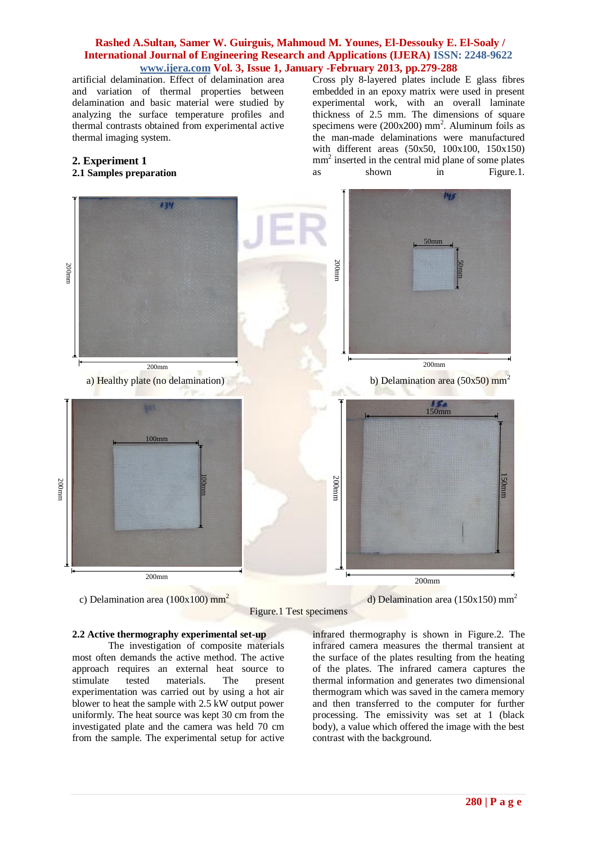artificial delamination. Effect of delamination area and variation of thermal properties between delamination and basic material were studied by analyzing the surface temperature profiles and thermal contrasts obtained from experimental active thermal imaging system.

# **2. Experiment 1**

# **2.1 Samples preparation**

Cross ply 8-layered plates include E glass fibres embedded in an epoxy matrix were used in present experimental work, with an overall laminate thickness of 2.5 mm. The dimensions of square specimens were  $(200x200)$  mm<sup>2</sup>. Aluminum foils as the man-made delaminations were manufactured with different areas (50x50, 100x100, 150x150) mm<sup>2</sup> inserted in the central mid plane of some plates as shown in Figure.1.



c) Delamination area  $(100x100)$  mm<sup>2</sup>



#### **2.2 Active thermography experimental set-up**

The investigation of composite materials most often demands the active method. The active approach requires an external heat source to stimulate tested materials. The present experimentation was carried out by using a hot air blower to heat the sample with 2.5 kW output power uniformly. The heat source was kept 30 cm from the investigated plate and the camera was held 70 cm from the sample. The experimental setup for active infrared thermography is shown in Figure.2. The infrared camera measures the thermal transient at the surface of the plates resulting from the heating of the plates. The infrared camera captures the thermal information and generates two dimensional thermogram which was saved in the camera memory and then transferred to the computer for further processing. The emissivity was set at 1 (black body), a value which offered the image with the best contrast with the background.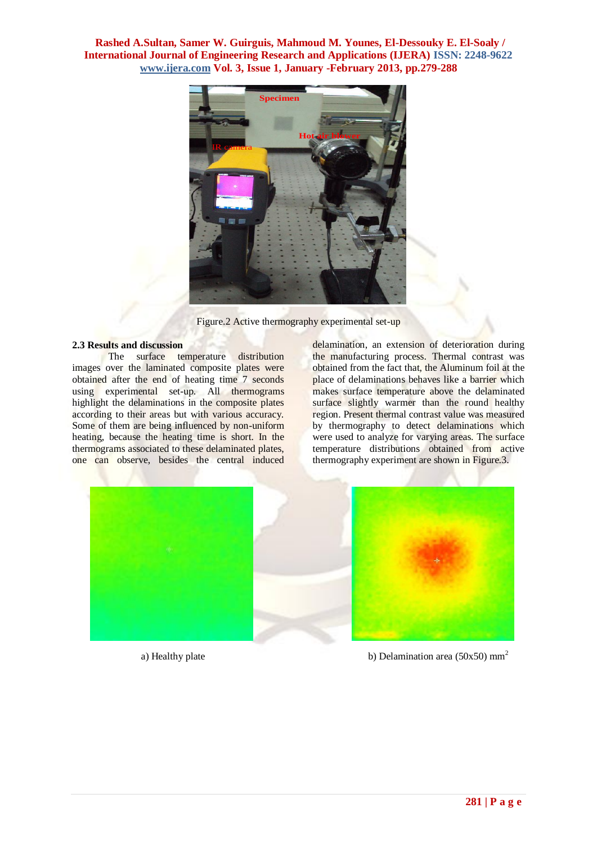

Figure.2 Active thermography experimental set-up

# **2.3 Results and discussion**

The surface temperature distribution images over the laminated composite plates were obtained after the end of heating time 7 seconds using experimental set-up. All thermograms highlight the delaminations in the composite plates according to their areas but with various accuracy. Some of them are being influenced by non-uniform heating, because the heating time is short. In the thermograms associated to these delaminated plates, one can observe, besides the central induced

delamination, an extension of deterioration during the manufacturing process. Thermal contrast was obtained from the fact that, the Aluminum foil at the place of delaminations behaves like a barrier which makes surface temperature above the delaminated surface slightly warmer than the round healthy region. Present thermal contrast value was measured by thermography to detect delaminations which were used to analyze for varying areas. The surface temperature distributions obtained from active thermography experiment are shown in Figure.3.



a) Healthy plate b) Delamination area  $(50x50)$  mm<sup>2</sup>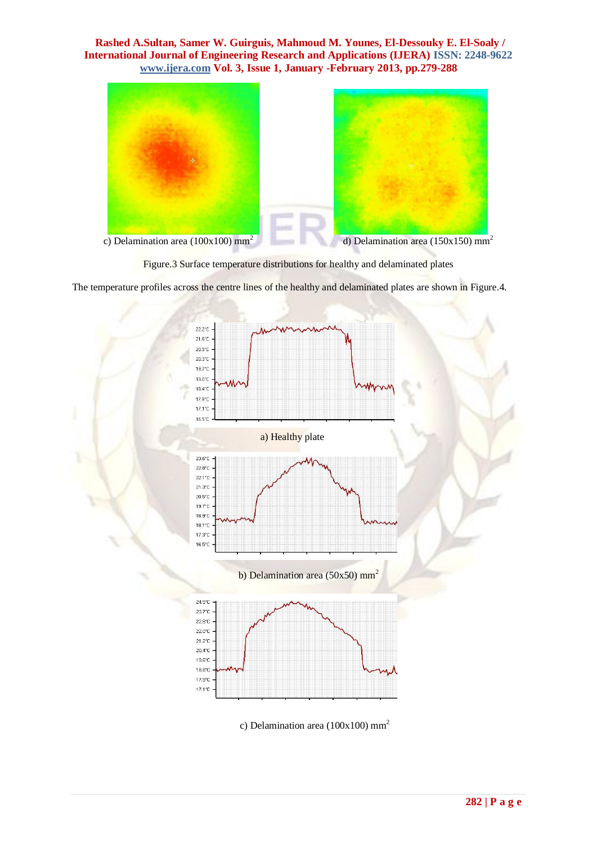

Figure.3 Surface temperature distributions for healthy and delaminated plates

The temperature profiles across the centre lines of the healthy and delaminated plates are shown in Figure.4.



c) Delamination area (100x100) mm<sup>2</sup>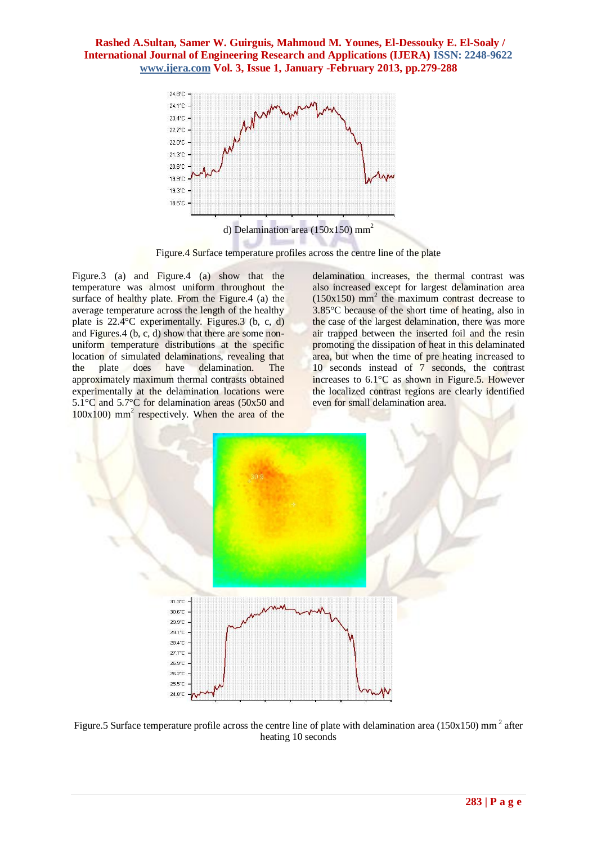

Figure.4 Surface temperature profiles across the centre line of the plate

Figure.3 (a) and Figure.4 (a) show that the temperature was almost uniform throughout the surface of healthy plate. From the Figure.4 (a) the average temperature across the length of the healthy plate is 22.4°C experimentally. Figures.3 (b, c, d) and Figures.4 (b, c, d) show that there are some nonuniform temperature distributions at the specific location of simulated delaminations, revealing that the plate does have delamination. The approximately maximum thermal contrasts obtained experimentally at the delamination locations were 5.1°C and 5.7°C for delamination areas (50x50 and 100x100) mm<sup>2</sup> respectively. When the area of the delamination increases, the thermal contrast was also increased except for largest delamination area  $(150x150)$  mm<sup>2</sup> the maximum contrast decrease to 3.85°C because of the short time of heating, also in the case of the largest delamination, there was more air trapped between the inserted foil and the resin promoting the dissipation of heat in this delaminated area, but when the time of pre heating increased to 10 seconds instead of 7 seconds, the contrast increases to 6.1°C as shown in Figure.5. However the localized contrast regions are clearly identified even for small delamination area.



Figure.5 Surface temperature profile across the centre line of plate with delamination area (150x150) mm<sup>2</sup> after heating 10 seconds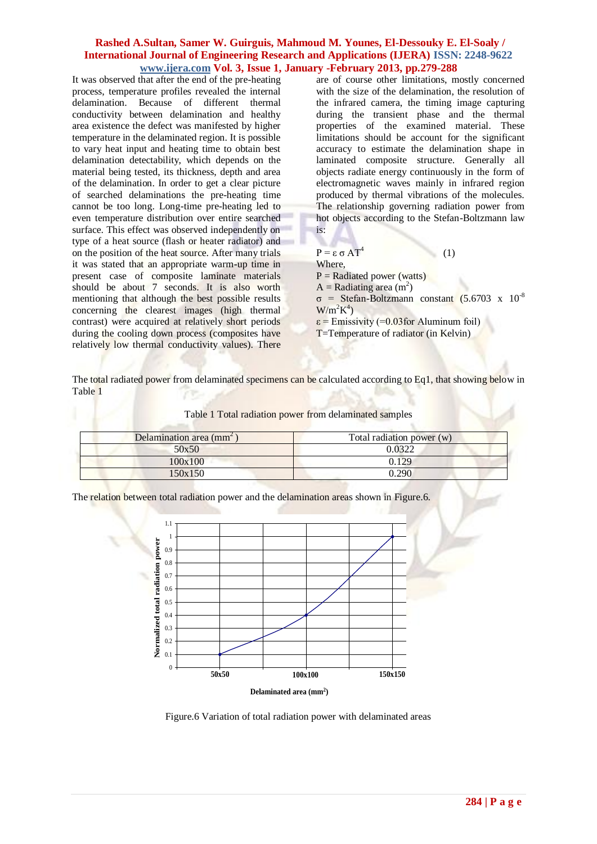It was observed that after the end of the pre-heating process, temperature profiles revealed the internal delamination. Because of different thermal conductivity between delamination and healthy area existence the defect was manifested by higher temperature in the delaminated region. It is possible to vary heat input and heating time to obtain best delamination detectability, which depends on the material being tested, its thickness, depth and area of the delamination. In order to get a clear picture of searched delaminations the pre-heating time cannot be too long. Long-time pre-heating led to even temperature distribution over entire searched surface. This effect was observed independently on type of a heat source (flash or heater radiator) and on the position of the heat source. After many trials it was stated that an appropriate warm-up time in present case of composite laminate materials should be about 7 seconds. It is also worth mentioning that although the best possible results concerning the clearest images (high thermal contrast) were acquired at relatively short periods during the cooling down process (composites have relatively low thermal conductivity values). There

are of course other limitations, mostly concerned with the size of the delamination, the resolution of the infrared camera, the timing image capturing during the transient phase and the thermal properties of the examined material. These limitations should be account for the significant accuracy to estimate the delamination shape in laminated composite structure. Generally all objects radiate energy continuously in the form of electromagnetic waves mainly in infrared region produced by thermal vibrations of the molecules. The relationship governing radiation power from hot objects according to the Stefan-Boltzmann law is:

#### $P = \epsilon \sigma A T^4$  (1) Where,  $P =$ Radiated power (watts)  $A =$ Radiating area  $(m<sup>2</sup>)$ σ = Stefan-Boltzmann constant (5.6703 x 10-8

 $W/m^2K^4$ 

 $\varepsilon$  = Emissivity (=0.03 for Aluminum foil) T=Temperature of radiator (in Kelvin)

The total radiated power from delaminated specimens can be calculated according to Eq1, that showing below in Table 1

| Delamination area (mm <sup>2</sup> ) | Total radiation power $(w)$ |
|--------------------------------------|-----------------------------|
| 50x50                                | 0.0322                      |
| 100x100                              | 0.129                       |
| 150x150                              | 1.290                       |

Table 1 Total radiation power from delaminated samples

The relation between total radiation power and the delamination areas shown in Figure.6.



Figure.6 Variation of total radiation power with delaminated areas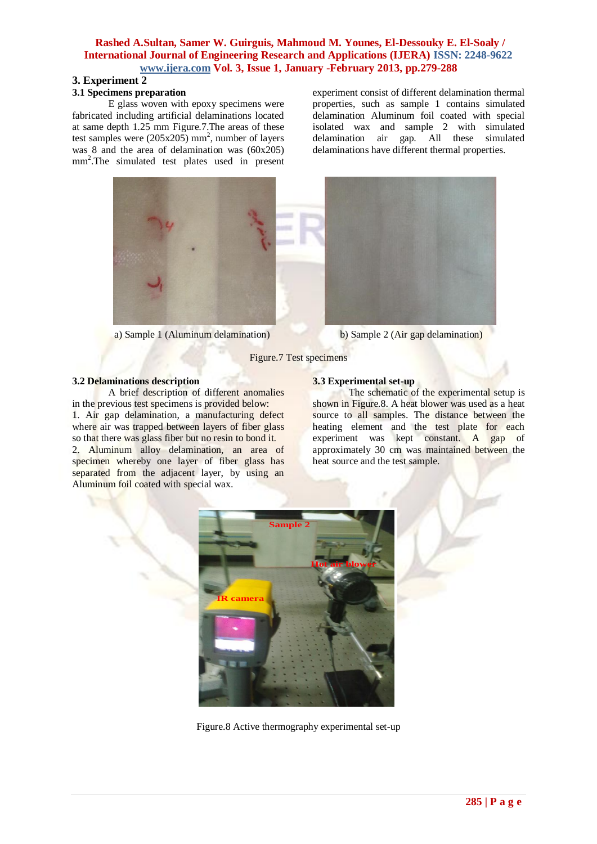## **3. Experiment 2**

#### **3.1 Specimens preparation**

E glass woven with epoxy specimens were fabricated including artificial delaminations located at same depth 1.25 mm Figure.7.The areas of these test samples were  $(205x205)$  mm<sup>2</sup>, number of layers was 8 and the area of delamination was (60x205) mm<sup>2</sup> .The simulated test plates used in present

experiment consist of different delamination thermal properties, such as sample 1 contains simulated delamination Aluminum foil coated with special isolated wax and sample 2 with simulated delamination air gap. All these simulated delaminations have different thermal properties.



a) Sample 1 (Aluminum delamination) b) Sample 2 (Air gap delamination)

Figure.7 Test specimens

## **3.2 Delaminations description**

A brief description of different anomalies in the previous test specimens is provided below: 1. Air gap delamination, a manufacturing defect where air was trapped between layers of fiber glass so that there was glass fiber but no resin to bond it. 2. Aluminum alloy delamination, an area of specimen whereby one layer of fiber glass has separated from the adjacent layer, by using an Aluminum foil coated with special wax.

## **3.3 Experimental set-up**

The schematic of the experimental setup is shown in Figure.8. A heat blower was used as a heat source to all samples. The distance between the heating element and the test plate for each experiment was kept constant. A gap of approximately 30 cm was maintained between the heat source and the test sample.



Figure.8 Active thermography experimental set-up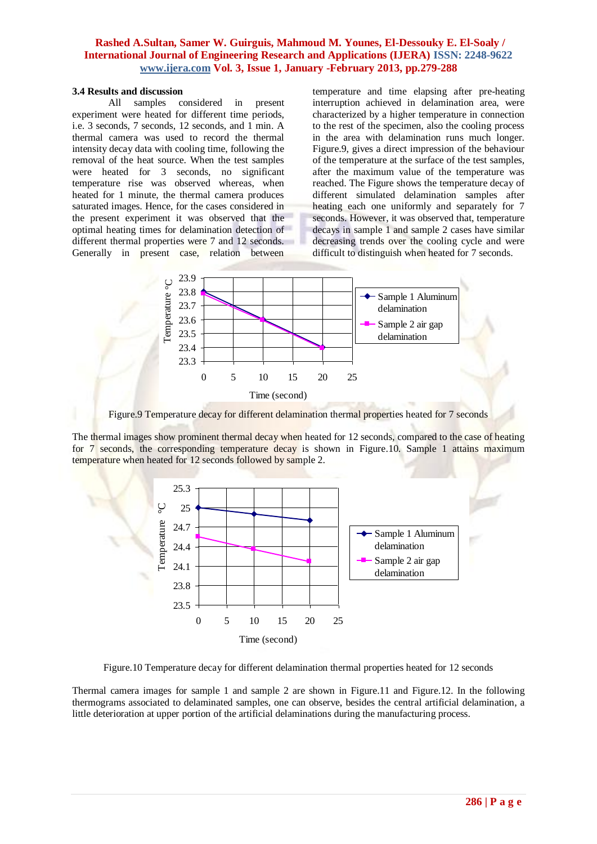#### **3.4 Results and discussion**

All samples considered in present experiment were heated for different time periods, i.e. 3 seconds, 7 seconds, 12 seconds, and 1 min. A thermal camera was used to record the thermal intensity decay data with cooling time, following the removal of the heat source. When the test samples were heated for 3 seconds, no significant temperature rise was observed whereas, when heated for 1 minute, the thermal camera produces saturated images. Hence, for the cases considered in the present experiment it was observed that the optimal heating times for delamination detection of different thermal properties were 7 and 12 seconds. Generally in present case, relation between

temperature and time elapsing after pre-heating interruption achieved in delamination area, were characterized by a higher temperature in connection to the rest of the specimen, also the cooling process in the area with delamination runs much longer. Figure.9, gives a direct impression of the behaviour of the temperature at the surface of the test samples, after the maximum value of the temperature was reached. The Figure shows the temperature decay of different simulated delamination samples after heating each one uniformly and separately for 7 seconds. However, it was observed that, temperature decays in sample 1 and sample 2 cases have similar decreasing trends over the cooling cycle and were difficult to distinguish when heated for 7 seconds.



Figure.9 Temperature decay for different delamination thermal properties heated for 7 seconds

The thermal images show prominent thermal decay when heated for 12 seconds, compared to the case of heating for 7 seconds, the corresponding temperature decay is shown in Figure.10. Sample 1 attains maximum temperature when heated for 12 seconds followed by sample 2.



Figure.10 Temperature decay for different delamination thermal properties heated for 12 seconds

Thermal camera images for sample 1 and sample 2 are shown in Figure.11 and Figure.12. In the following thermograms associated to delaminated samples, one can observe, besides the central artificial delamination, a little deterioration at upper portion of the artificial delaminations during the manufacturing process.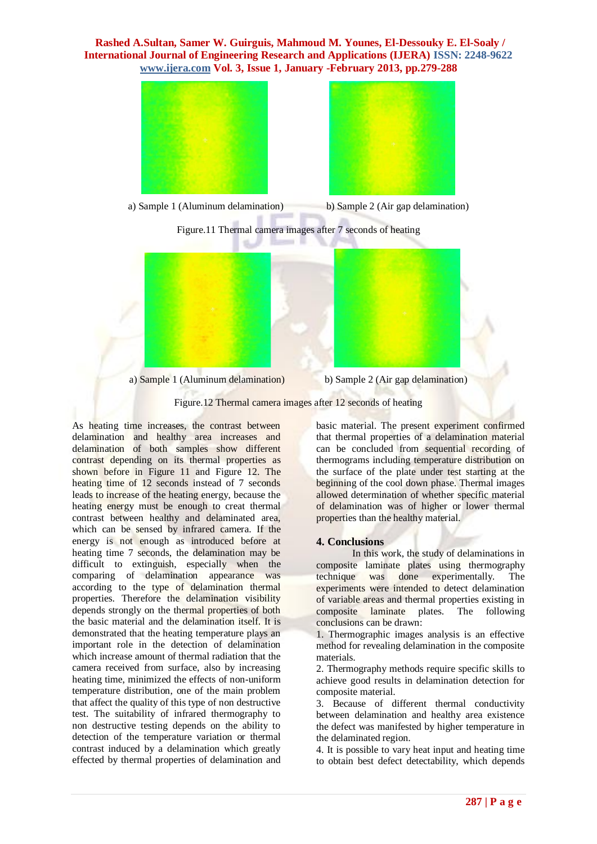

a) Sample 1 (Aluminum delamination) b) Sample 2 (Air gap delamination)



Figure.11 Thermal camera images after 7 seconds of heating



a) Sample 1 (Aluminum delamination) b) Sample 2 (Air gap delamination)

Figure.12 Thermal camera images after 12 seconds of heating

As heating time increases, the contrast between delamination and healthy area increases and delamination of both samples show different contrast depending on its thermal properties as shown before in Figure 11 and Figure 12. The heating time of 12 seconds instead of 7 seconds leads to increase of the heating energy, because the heating energy must be enough to creat thermal contrast between healthy and delaminated area, which can be sensed by infrared camera. If the energy is not enough as introduced before at heating time 7 seconds, the delamination may be difficult to extinguish, especially when the comparing of delamination appearance was according to the type of delamination thermal properties. Therefore the delamination visibility depends strongly on the thermal properties of both the basic material and the delamination itself. It is demonstrated that the heating temperature plays an important role in the detection of delamination which increase amount of thermal radiation that the camera received from surface, also by increasing heating time, minimized the effects of non-uniform temperature distribution, one of the main problem that affect the quality of this type of non destructive test. The suitability of infrared thermography to non destructive testing depends on the ability to detection of the temperature variation or thermal contrast induced by a delamination which greatly effected by thermal properties of delamination and

basic material. The present experiment confirmed that thermal properties of a delamination material can be concluded from sequential recording of thermograms including temperature distribution on the surface of the plate under test starting at the beginning of the cool down phase. Thermal images allowed determination of whether specific material of delamination was of higher or lower thermal properties than the healthy material.

#### **4. Conclusions**

In this work, the study of delaminations in composite laminate plates using thermography technique was done experimentally. The experiments were intended to detect delamination of variable areas and thermal properties existing in composite laminate plates. The following conclusions can be drawn:

1. Thermographic images analysis is an effective method for revealing delamination in the composite materials.

2. Thermography methods require specific skills to achieve good results in delamination detection for composite material.

3. Because of different thermal conductivity between delamination and healthy area existence the defect was manifested by higher temperature in the delaminated region.

4. It is possible to vary heat input and heating time to obtain best defect detectability, which depends